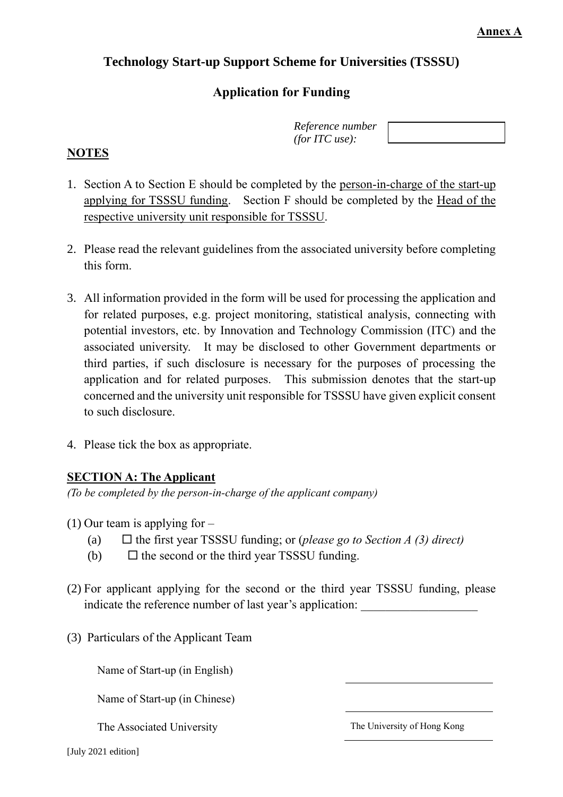## **Technology Start-up Support Scheme for Universities (TSSSU)**

## **Application for Funding**

| Reference number      |  |
|-----------------------|--|
| <i>(for ITC use):</i> |  |

## **NOTES**

- 1. Section A to Section E should be completed by the person-in-charge of the start-up applying for TSSSU funding. Section F should be completed by the Head of the respective university unit responsible for TSSSU.
- 2. Please read the relevant guidelines from the associated university before completing this form.
- 3. All information provided in the form will be used for processing the application and for related purposes, e.g. project monitoring, statistical analysis, connecting with potential investors, etc. by Innovation and Technology Commission (ITC) and the associated university. It may be disclosed to other Government departments or third parties, if such disclosure is necessary for the purposes of processing the application and for related purposes. This submission denotes that the start-up concerned and the university unit responsible for TSSSU have given explicit consent to such disclosure.
- 4. Please tick the box as appropriate.

## **SECTION A: The Applicant**

*(To be completed by the person-in-charge of the applicant company)*

- (1) Our team is applying for  $-$ 
	- (a) the first year TSSSU funding; or (*please go to Section A (3) direct)*
	- (b)  $\Box$  the second or the third year TSSSU funding.
- (2) For applicant applying for the second or the third year TSSSU funding, please indicate the reference number of last year's application:
- (3) Particulars of the Applicant Team

Name of Start-up (in English)

Name of Start-up (in Chinese)

The Associated University The University of Hong Kong

[July 2021 edition]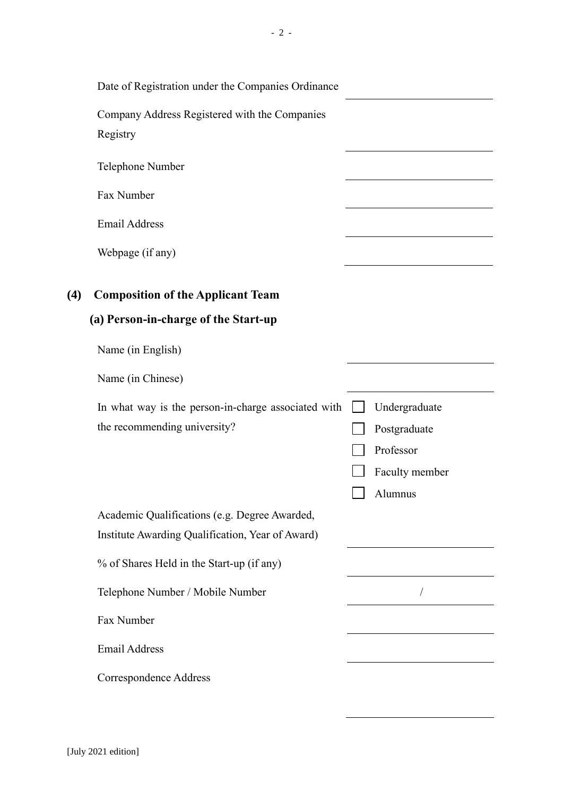|     | Date of Registration under the Companies Ordinance        |                |
|-----|-----------------------------------------------------------|----------------|
|     | Company Address Registered with the Companies<br>Registry |                |
|     | Telephone Number                                          |                |
|     | Fax Number                                                |                |
|     | <b>Email Address</b>                                      |                |
|     | Webpage (if any)                                          |                |
| (4) | <b>Composition of the Applicant Team</b>                  |                |
|     | (a) Person-in-charge of the Start-up                      |                |
|     | Name (in English)                                         |                |
|     | Name (in Chinese)                                         |                |
|     | In what way is the person-in-charge associated with       | Undergraduate  |
|     | the recommending university?                              | Postgraduate   |
|     |                                                           | Professor      |
|     |                                                           | Faculty member |
|     |                                                           | Alumnus        |
|     | Academic Qualifications (e.g. Degree Awarded,             |                |
|     | Institute Awarding Qualification, Year of Award)          |                |
|     | % of Shares Held in the Start-up (if any)                 |                |
|     | Telephone Number / Mobile Number                          |                |
|     | Fax Number                                                |                |
|     | <b>Email Address</b>                                      |                |
|     | Correspondence Address                                    |                |

- 2 -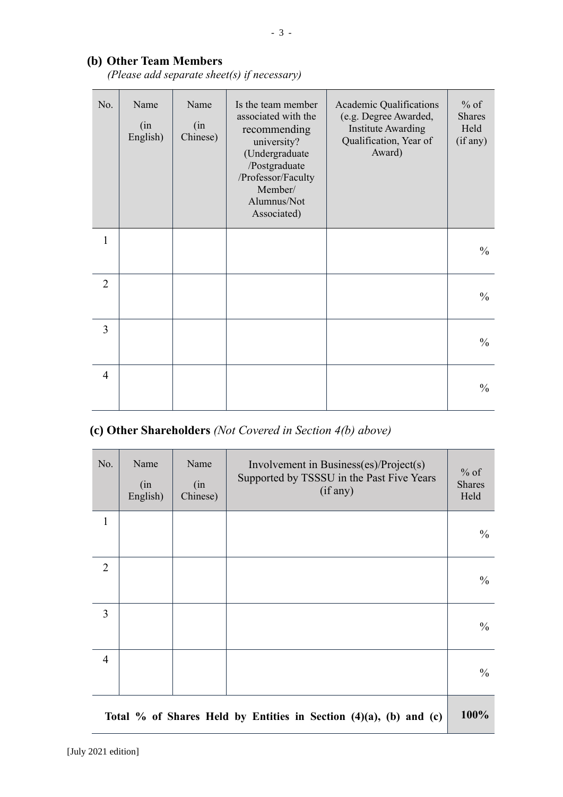## **(b) Other Team Members**

*(Please add separate sheet(s) if necessary)*

| No.            | Name<br>(in<br>English) | Name<br>(in<br>Chinese) | Is the team member<br>associated with the<br>recommending<br>university?<br>(Undergraduate<br>/Postgraduate<br>/Professor/Faculty<br>Member/<br>Alumnus/Not<br>Associated) | Academic Qualifications<br>(e.g. Degree Awarded,<br><b>Institute Awarding</b><br>Qualification, Year of<br>Award) | $%$ of<br><b>Shares</b><br>Held<br>(if any) |
|----------------|-------------------------|-------------------------|----------------------------------------------------------------------------------------------------------------------------------------------------------------------------|-------------------------------------------------------------------------------------------------------------------|---------------------------------------------|
| $\mathbf{1}$   |                         |                         |                                                                                                                                                                            |                                                                                                                   | $\frac{0}{0}$                               |
| $\overline{2}$ |                         |                         |                                                                                                                                                                            |                                                                                                                   | $\frac{0}{0}$                               |
| 3              |                         |                         |                                                                                                                                                                            |                                                                                                                   | $\frac{0}{0}$                               |
| $\overline{4}$ |                         |                         |                                                                                                                                                                            |                                                                                                                   | $\frac{0}{0}$                               |

## **(c) Other Shareholders** *(Not Covered in Section 4(b) above)*

| No.            | Name<br>(in<br>English) | Name<br>(in<br>Chinese) | Involvement in Business(es)/Project(s)<br>Supported by TSSSU in the Past Five Years<br>(if any) | $%$ of<br><b>Shares</b><br>Held |
|----------------|-------------------------|-------------------------|-------------------------------------------------------------------------------------------------|---------------------------------|
| $\mathbf{1}$   |                         |                         |                                                                                                 | $\frac{0}{0}$                   |
| $\overline{2}$ |                         |                         |                                                                                                 | $\frac{0}{0}$                   |
| 3              |                         |                         |                                                                                                 | $\frac{0}{0}$                   |
| $\overline{4}$ |                         |                         |                                                                                                 | $\frac{0}{0}$                   |
|                |                         |                         | Total % of Shares Held by Entities in Section $(4)(a)$ , $(b)$ and $(c)$                        | 100%                            |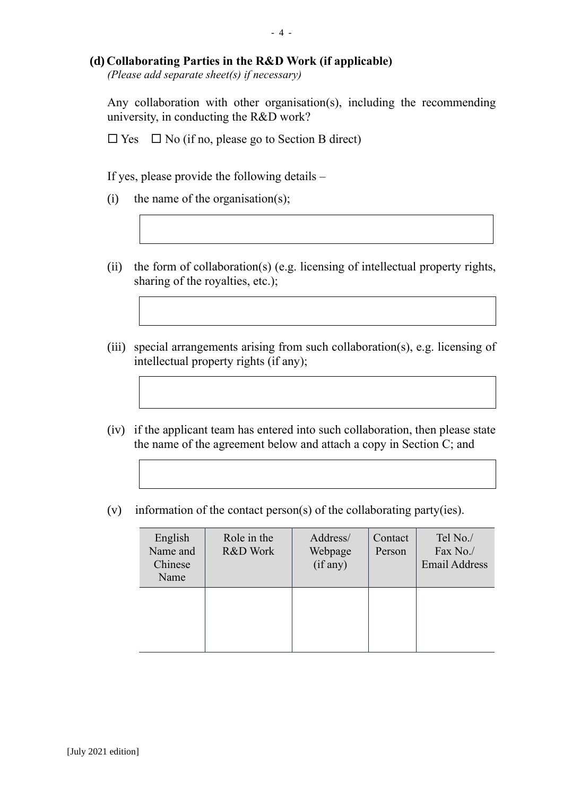# **(d) Collaborating Parties in the R&D Work (if applicable)**

*(Please add separate sheet(s) if necessary)*

Any collaboration with other organisation(s), including the recommending university, in conducting the R&D work?

 $\Box$  Yes  $\Box$  No (if no, please go to Section B direct)

If yes, please provide the following details –

- (i) the name of the organisation(s);
- (ii) the form of collaboration(s) (e.g. licensing of intellectual property rights, sharing of the royalties, etc.);
- (iii) special arrangements arising from such collaboration(s), e.g. licensing of intellectual property rights (if any);
- (iv) if the applicant team has entered into such collaboration, then please state the name of the agreement below and attach a copy in Section C; and
- (v) information of the contact person(s) of the collaborating party(ies).

| English<br>Name and<br>Chinese<br>Name | Role in the<br>R&D Work | Address/<br>Webpage<br>(if any) | Contact<br>Person | Tel No./<br>Fax No./<br><b>Email Address</b> |
|----------------------------------------|-------------------------|---------------------------------|-------------------|----------------------------------------------|
|                                        |                         |                                 |                   |                                              |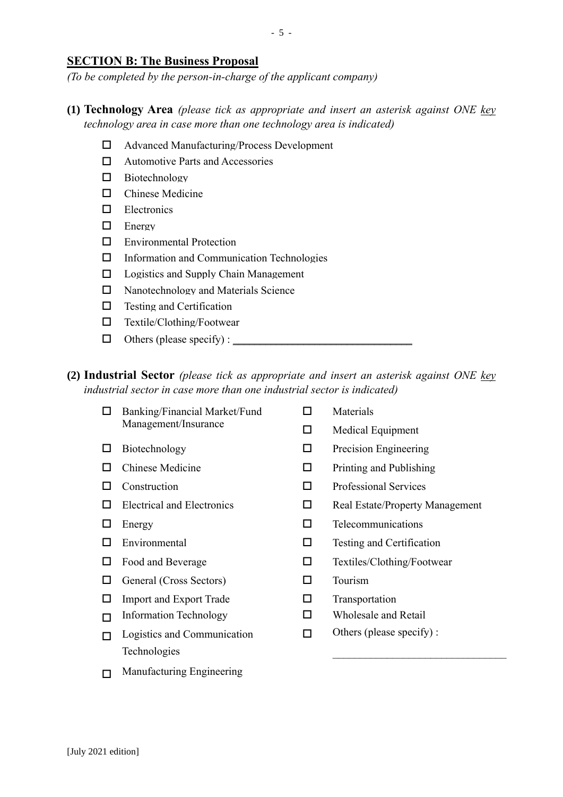#### **SECTION B: The Business Proposal**

*(To be completed by the person-in-charge of the applicant company)*

- **(1) Technology Area** *(please tick as appropriate and insert an asterisk against ONE key technology area in case more than one technology area is indicated)*
	- □ Advanced Manufacturing/Process Development
	- □ Automotive Parts and Accessories
	- □ Biotechnology
	- □ Chinese Medicine
	- Electronics
	- $\Box$  Energy
	- **E** Environmental Protection
	- $\Box$  Information and Communication Technologies
	- $\Box$  Logistics and Supply Chain Management
	- $\Box$  Nanotechnology and Materials Science
	- $\Box$  Testing and Certification
	- Textile/Clothing/Footwear
	- $\Box$  Others (please specify) :  $\Box$
- **(2) Industrial Sector** *(please tick as appropriate and insert an asterisk against ONE key industrial sector in case more than one industrial sector is indicated)*
	- $\Box$  Banking/Financial Market/Fund Management/Insurance  $\Box$  Materials  $\Box$  Medical Equipment  $\Box$  Biotechnology  $\Box$  Precision Engineering  $\Box$  Chinese Medicine  $\Box$  Printing and Publishing  $\Box$  Construction  $\Box$  Professional Services  $\Box$  Electrical and Electronics  $\Box$  Real Estate/Property Management  $\Box$  Energy  $\Box$  Telecommunications  $\Box$  Environmental  $\Box$  Testing and Certification  $\Box$  Food and Beverage  $\Box$  Textiles/Clothing/Footwear  $\Box$  General (Cross Sectors)  $\Box$  Tourism  $\Box$  Import and Export Trade  $\Box$  Transportation  $\Box$  Information Technology  $\Box$  Wholesale and Retail Others (please specify) :  $\Box$  Logistics and Communication Technologies  $\Box$ \_\_\_\_\_\_\_\_\_\_\_\_\_\_\_\_\_\_\_\_\_\_\_\_\_\_\_\_\_\_\_\_  $\Box$  Manufacturing Engineering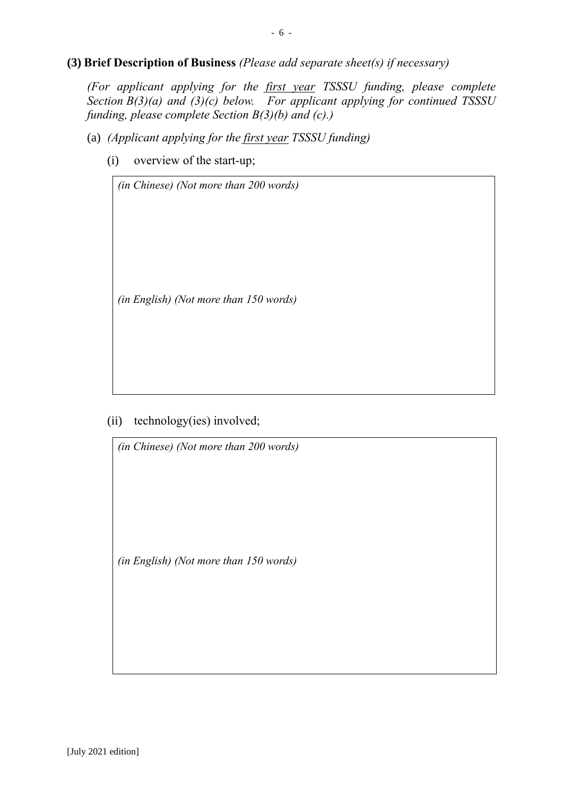#### **(3) Brief Description of Business** *(Please add separate sheet(s) if necessary)*

*(For applicant applying for the first year TSSSU funding, please complete Section B(3)(a) and (3)(c) below. For applicant applying for continued TSSSU funding, please complete Section B(3)(b) and (c).)*

- (a) *(Applicant applying for the first year TSSSU funding)*
	- (i) overview of the start-up;

*(in Chinese) (Not more than 200 words)*

*(in English) (Not more than 150 words)*

(ii) technology(ies) involved;

*(in Chinese) (Not more than 200 words)*

*(in English) (Not more than 150 words)*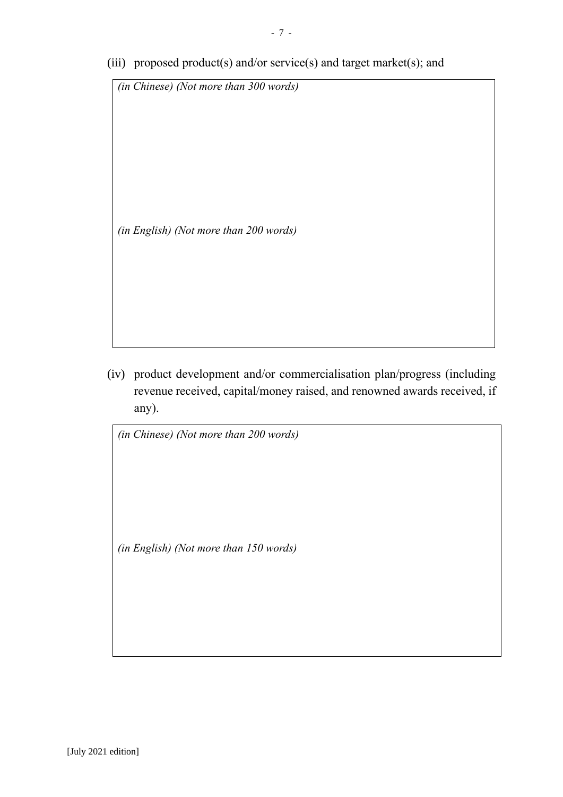(iii) proposed product(s) and/or service(s) and target market(s); and

*(in Chinese) (Not more than 300 words)*

*(in English) (Not more than 200 words)*

(iv) product development and/or commercialisation plan/progress (including revenue received, capital/money raised, and renowned awards received, if any).

*(in Chinese) (Not more than 200 words)*

*(in English) (Not more than 150 words)*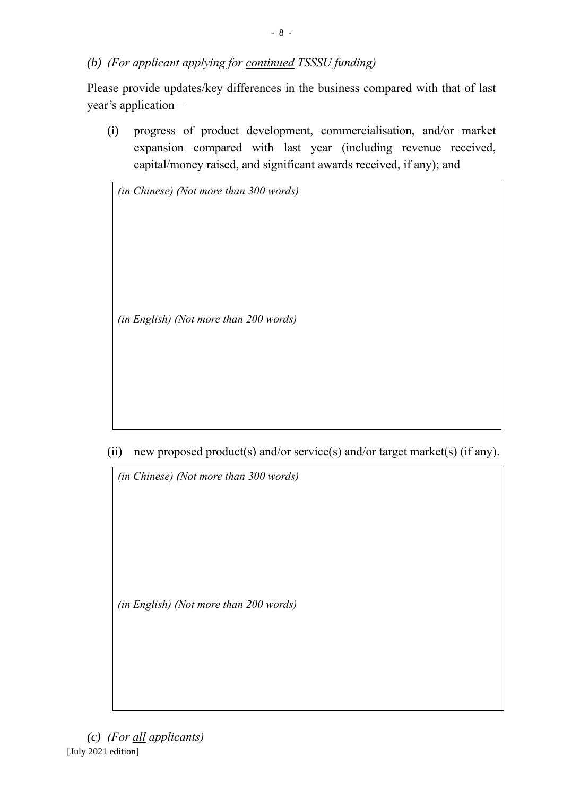*(b) (For applicant applying for continued TSSSU funding)*

Please provide updates/key differences in the business compared with that of last year's application –

(i) progress of product development, commercialisation, and/or market expansion compared with last year (including revenue received, capital/money raised, and significant awards received, if any); and

*(in Chinese) (Not more than 300 words)*

*(in English) (Not more than 200 words)*

(ii) new proposed product(s) and/or service(s) and/or target market(s) (if any).

*(in Chinese) (Not more than 300 words)*

*(in English) (Not more than 200 words)*

[July 2021 edition] *(c) (For all applicants)*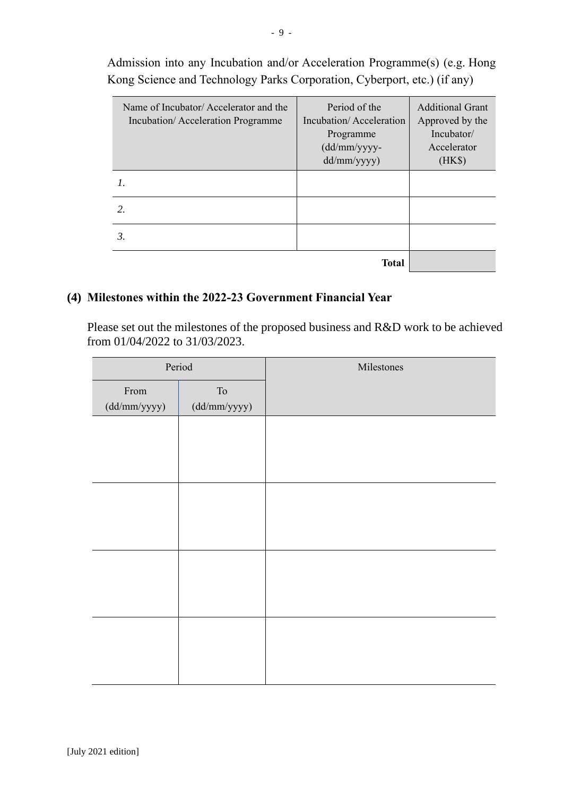| Name of Incubator/Accelerator and the<br>Incubation/Acceleration Programme | Period of the<br>Incubation/Acceleration<br>Programme<br>$(dd/mm/yy$ yyy-<br>dd/mm/yyyy) | <b>Additional Grant</b><br>Approved by the<br>Incubator/<br>Accelerator<br>(HK\$) |
|----------------------------------------------------------------------------|------------------------------------------------------------------------------------------|-----------------------------------------------------------------------------------|
|                                                                            |                                                                                          |                                                                                   |
| $\mathcal{L}$                                                              |                                                                                          |                                                                                   |
| 3.                                                                         |                                                                                          |                                                                                   |
|                                                                            | Total                                                                                    |                                                                                   |

Admission into any Incubation and/or Acceleration Programme(s) (e.g. Hong Kong Science and Technology Parks Corporation, Cyberport, etc.) (if any)

### **(4) Milestones within the 2022-23 Government Financial Year**

Please set out the milestones of the proposed business and R&D work to be achieved from 01/04/2022 to 31/03/2023.

| Period       |                       | Milestones |
|--------------|-----------------------|------------|
| From         | ${\rm To}$            |            |
| (dd/mm/yyyy) | $(dd/\text{mm/yyyy})$ |            |
|              |                       |            |
|              |                       |            |
|              |                       |            |
|              |                       |            |
|              |                       |            |
|              |                       |            |
|              |                       |            |
|              |                       |            |
|              |                       |            |
|              |                       |            |
|              |                       |            |
|              |                       |            |
|              |                       |            |
|              |                       |            |
|              |                       |            |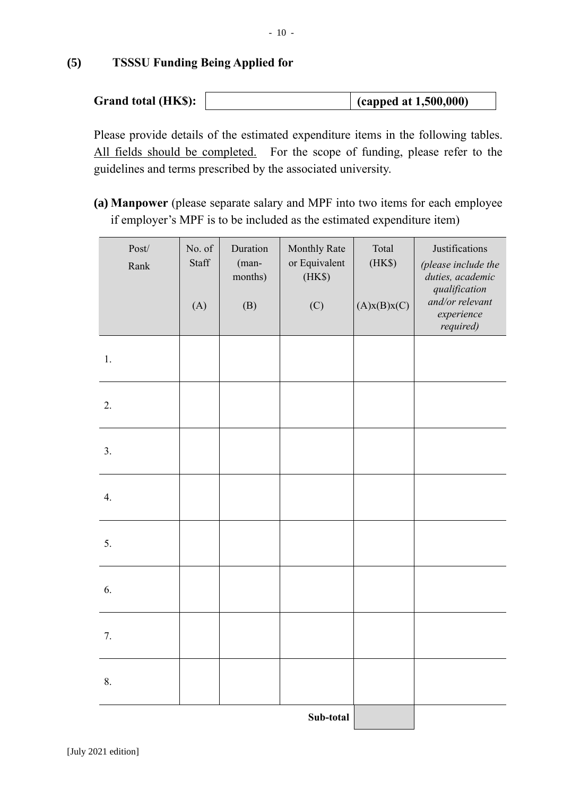# **(5) TSSSU Funding Being Applied for**

| Grand total (HK\$):<br>$\int$ (capped at 1,500,000) |
|-----------------------------------------------------|
|-----------------------------------------------------|

Please provide details of the estimated expenditure items in the following tables. All fields should be completed. For the scope of funding, please refer to the guidelines and terms prescribed by the associated university.

**(a) Manpower** (please separate salary and MPF into two items for each employee if employer's MPF is to be included as the estimated expenditure item)

| $\mathbf{Post}/$<br>Rank | No. of<br><b>Staff</b><br>(A) | Duration<br>(man-<br>months)<br>(B) | Monthly Rate<br>or Equivalent<br>(HK\$)<br>(C) | Total<br>(HK\$)<br>(A)x(B)x(C) | Justifications<br>(please include the<br>duties, academic<br>qualification<br>and/or relevant<br>experience<br>required) |  |  |  |
|--------------------------|-------------------------------|-------------------------------------|------------------------------------------------|--------------------------------|--------------------------------------------------------------------------------------------------------------------------|--|--|--|
| 1.                       |                               |                                     |                                                |                                |                                                                                                                          |  |  |  |
| 2.                       |                               |                                     |                                                |                                |                                                                                                                          |  |  |  |
| 3.                       |                               |                                     |                                                |                                |                                                                                                                          |  |  |  |
| 4.                       |                               |                                     |                                                |                                |                                                                                                                          |  |  |  |
| 5.                       |                               |                                     |                                                |                                |                                                                                                                          |  |  |  |
| 6.                       |                               |                                     |                                                |                                |                                                                                                                          |  |  |  |
| 7.                       |                               |                                     |                                                |                                |                                                                                                                          |  |  |  |
| 8.                       |                               |                                     |                                                |                                |                                                                                                                          |  |  |  |
|                          | Sub-total                     |                                     |                                                |                                |                                                                                                                          |  |  |  |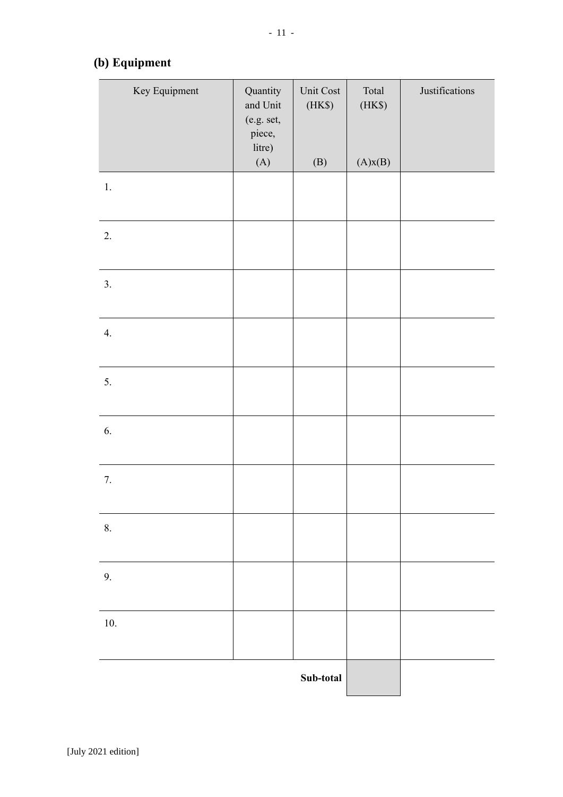# **(b) Equipment**

| Key Equipment | Quantity<br>and Unit<br>(e.g. set,<br>piece,<br>litre)<br>(A) | Unit Cost<br>(HK\$)<br>(B) | Total<br>(HK\$)<br>(A)x(B) | Justifications |
|---------------|---------------------------------------------------------------|----------------------------|----------------------------|----------------|
| $1.$          |                                                               |                            |                            |                |
| 2.            |                                                               |                            |                            |                |
| 3.            |                                                               |                            |                            |                |
| 4.            |                                                               |                            |                            |                |
| 5.            |                                                               |                            |                            |                |
| 6.            |                                                               |                            |                            |                |
| 7.            |                                                               |                            |                            |                |
| $\bf 8.$      |                                                               |                            |                            |                |
| 9.            |                                                               |                            |                            |                |
| 10.           |                                                               |                            |                            |                |
|               |                                                               | Sub-total                  |                            |                |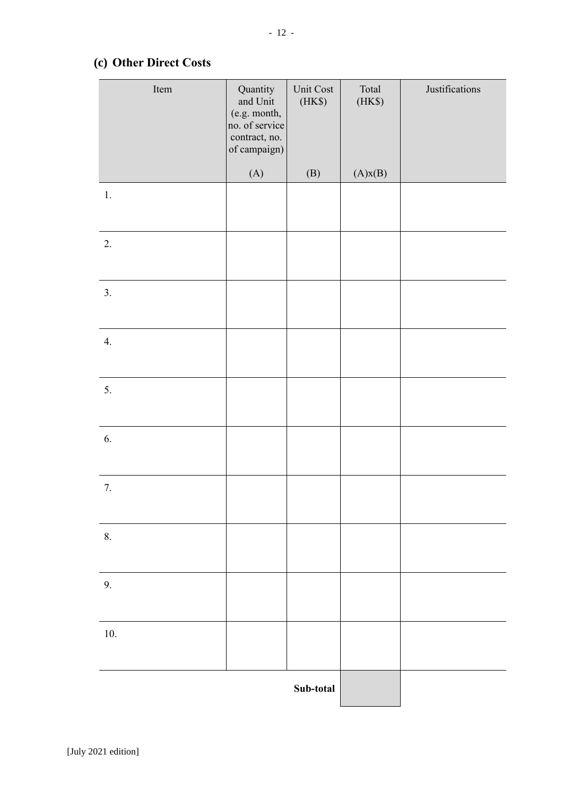## **(c) Other Direct Costs**

| Item     | Quantity<br>and Unit<br>(e.g. month,<br>no. of service<br>contract, no.<br>of campaign) | Unit Cost<br>(HK\$) | Total<br>(HK\$) | Justifications |
|----------|-----------------------------------------------------------------------------------------|---------------------|-----------------|----------------|
|          | (A)                                                                                     | (B)                 | (A)x(B)         |                |
| $1.$     |                                                                                         |                     |                 |                |
| 2.       |                                                                                         |                     |                 |                |
| 3.       |                                                                                         |                     |                 |                |
| 4.       |                                                                                         |                     |                 |                |
| 5.       |                                                                                         |                     |                 |                |
| 6.       |                                                                                         |                     |                 |                |
| 7.       |                                                                                         |                     |                 |                |
| 8.       |                                                                                         |                     |                 |                |
| 9.       |                                                                                         |                     |                 |                |
| $10. \,$ |                                                                                         |                     |                 |                |
|          |                                                                                         | Sub-total           |                 |                |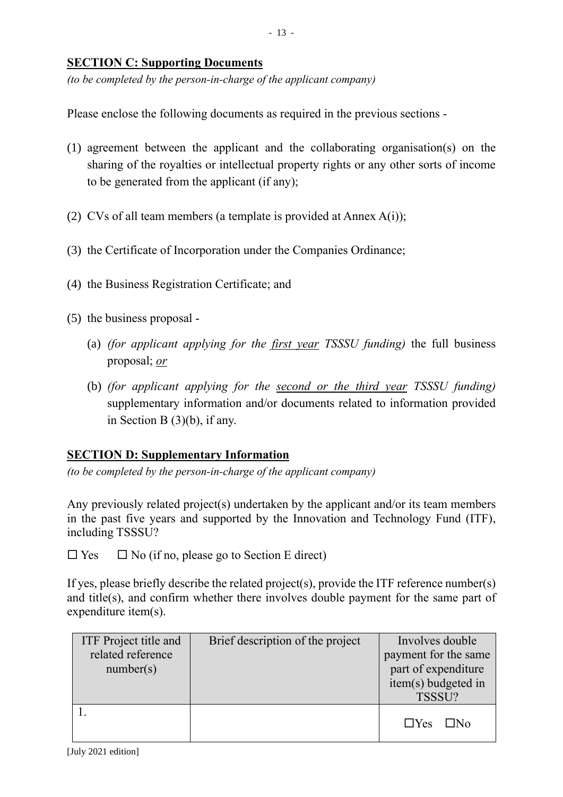### **SECTION C: Supporting Documents**

*(to be completed by the person-in-charge of the applicant company)*

Please enclose the following documents as required in the previous sections -

- (1) agreement between the applicant and the collaborating organisation(s) on the sharing of the royalties or intellectual property rights or any other sorts of income to be generated from the applicant (if any);
- (2) CVs of all team members (a template is provided at Annex A(i));
- (3) the Certificate of Incorporation under the Companies Ordinance;
- (4) the Business Registration Certificate; and
- (5) the business proposal
	- (a) *(for applicant applying for the first year TSSSU funding)* the full business proposal; *or*
	- (b) *(for applicant applying for the second or the third year TSSSU funding)* supplementary information and/or documents related to information provided in Section B (3)(b), if any.

#### **SECTION D: Supplementary Information**

*(to be completed by the person-in-charge of the applicant company)*

Any previously related project(s) undertaken by the applicant and/or its team members in the past five years and supported by the Innovation and Technology Fund (ITF), including TSSSU?

 $\Box$  Yes  $\Box$  No (if no, please go to Section E direct)

If yes, please briefly describe the related project(s), provide the ITF reference number(s) and title(s), and confirm whether there involves double payment for the same part of expenditure item(s).

| ITF Project title and<br>related reference<br>number(s) | Brief description of the project | Involves double<br>payment for the same<br>part of expenditure<br>item(s) budgeted in<br>TSSSU? |
|---------------------------------------------------------|----------------------------------|-------------------------------------------------------------------------------------------------|
|                                                         |                                  | $\Box$ Yes<br>⊟N∩                                                                               |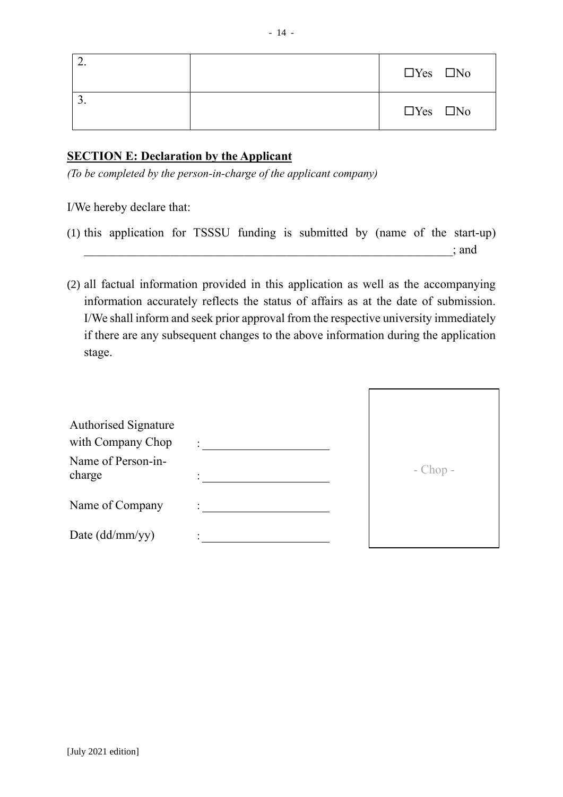|  | $\Box$ Yes $\Box$ No |
|--|----------------------|
|  | $\Box$ Yes $\Box$ No |

### **SECTION E: Declaration by the Applicant**

*(To be completed by the person-in-charge of the applicant company)*

I/We hereby declare that:

| (1) this application for TSSSU funding is submitted by (name of the start-up) |  |  |  |  |       |
|-------------------------------------------------------------------------------|--|--|--|--|-------|
|                                                                               |  |  |  |  | ; and |

(2) all factual information provided in this application as well as the accompanying information accurately reflects the status of affairs as at the date of submission. I/We shall inform and seek prior approval from the respective university immediately if there are any subsequent changes to the above information during the application stage.

| Authorised Signature<br>with Company Chop | $\ddot{\cdot}$ |              |
|-------------------------------------------|----------------|--------------|
| Name of Person-in-<br>charge              |                | $-$ Chop $-$ |
| Name of Company                           |                |              |
| Date (dd/mm/yy)                           |                |              |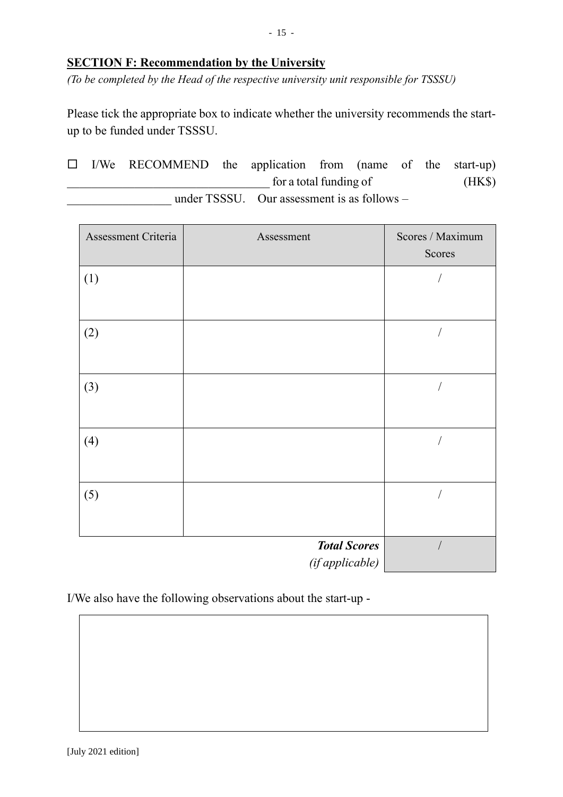### **SECTION F: Recommendation by the University**

*(To be completed by the Head of the respective university unit responsible for TSSSU)*

Please tick the appropriate box to indicate whether the university recommends the startup to be funded under TSSSU.

 $\Box$  I/We RECOMMEND the application from (name of the start-up)  $\frac{1}{2}$  for a total funding of (HK\$) under TSSSU. Our assessment is as follows –

| Assessment Criteria | Assessment          | Scores / Maximum<br>Scores |
|---------------------|---------------------|----------------------------|
| (1)                 |                     |                            |
|                     |                     |                            |
| (2)                 |                     |                            |
|                     |                     |                            |
| (3)                 |                     |                            |
|                     |                     |                            |
| (4)                 |                     | $\sqrt{2}$                 |
|                     |                     |                            |
| (5)                 |                     | $\sqrt{2}$                 |
|                     |                     |                            |
|                     | <b>Total Scores</b> |                            |
|                     | (if applicable)     |                            |

I/We also have the following observations about the start-up -